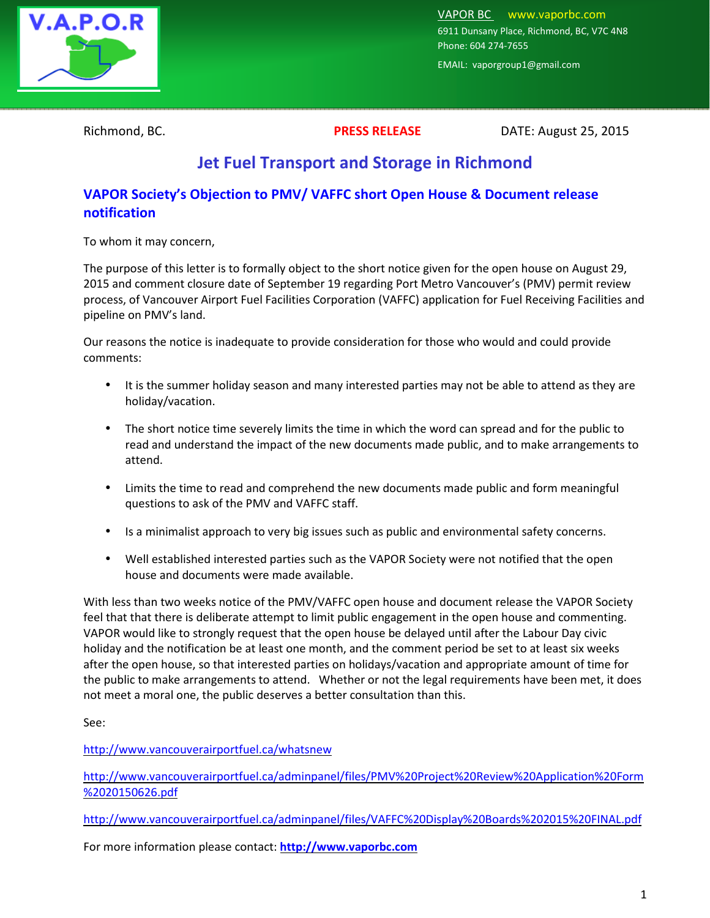

VAPOR BC www.vaporbc.com 6911 Dunsany Place, Richmond, BC, V7C 4N8 Phone: 604 274-7655

EMAIL: vaporgroup1@gmail.com

Richmond, BC. **PRESS RELEASE** DATE: August 25, 2015

## **Jet Fuel Transport and Storage in Richmond**

## **VAPOR Society's Objection to PMV/ VAFFC short Open House & Document release notification**

To whom it may concern,

The purpose of this letter is to formally object to the short notice given for the open house on August 29, 2015 and comment closure date of September 19 regarding Port Metro Vancouver's (PMV) permit review process, of Vancouver Airport Fuel Facilities Corporation (VAFFC) application for Fuel Receiving Facilities and pipeline on PMV's land.

Our reasons the notice is inadequate to provide consideration for those who would and could provide comments:

- It is the summer holiday season and many interested parties may not be able to attend as they are holiday/vacation.
- The short notice time severely limits the time in which the word can spread and for the public to read and understand the impact of the new documents made public, and to make arrangements to attend.
- Limits the time to read and comprehend the new documents made public and form meaningful questions to ask of the PMV and VAFFC staff.
- Is a minimalist approach to very big issues such as public and environmental safety concerns.
- Well established interested parties such as the VAPOR Society were not notified that the open house and documents were made available.

With less than two weeks notice of the PMV/VAFFC open house and document release the VAPOR Society feel that that there is deliberate attempt to limit public engagement in the open house and commenting. VAPOR would like to strongly request that the open house be delayed until after the Labour Day civic holiday and the notification be at least one month, and the comment period be set to at least six weeks after the open house, so that interested parties on holidays/vacation and appropriate amount of time for the public to make arrangements to attend. Whether or not the legal requirements have been met, it does not meet a moral one, the public deserves a better consultation than this.

See:

http://www.vancouverairportfuel.ca/whatsnew

http://www.vancouverairportfuel.ca/adminpanel/files/PMV%20Project%20Review%20Application%20Form %2020150626.pdf

http://www.vancouverairportfuel.ca/adminpanel/files/VAFFC%20Display%20Boards%202015%20FINAL.pdf

For more information please contact: **http://www.vaporbc.com**